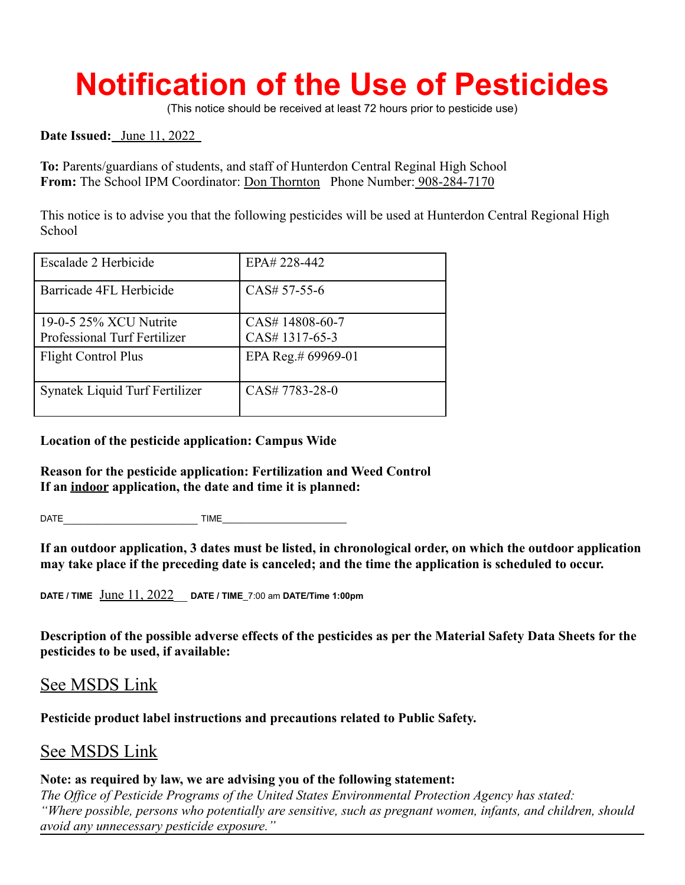## **Notification of the Use of Pesticides**

(This notice should be received at least 72 hours prior to pesticide use)

**Date Issued:** June 11, 2022

**To:** Parents/guardians of students, and staff of Hunterdon Central Reginal High School **From:** The School IPM Coordinator: Don Thornton Phone Number: 908-284-7170

This notice is to advise you that the following pesticides will be used at Hunterdon Central Regional High **School** 

| Escalade 2 Herbicide                                   | EPA# 228-442                    |
|--------------------------------------------------------|---------------------------------|
| Barricade 4FL Herbicide                                | CAS# 57-55-6                    |
| 19-0-5 25% XCU Nutrite<br>Professional Turf Fertilizer | CAS#14808-60-7<br>CAS#1317-65-3 |
| <b>Flight Control Plus</b>                             | EPA Reg.# 69969-01              |
| Synatek Liquid Turf Fertilizer                         | CAS# 7783-28-0                  |

**Location of the pesticide application: Campus Wide**

**Reason for the pesticide application: Fertilization and Weed Control If an indoor application, the date and time it is planned:**

DATE\_\_\_\_\_\_\_\_\_\_\_\_\_\_\_\_\_\_\_\_ TIME\_\_\_\_\_\_\_\_\_\_\_\_\_\_\_\_\_\_\_\_\_\_\_\_\_

**If an outdoor application, 3 dates must be listed, in chronological order, on which the outdoor application may take place if the preceding date is canceled; and the time the application is scheduled to occur.**

**DATE / TIME** June 11, 2022\_\_ **DATE / TIME**\_7:00 am **DATE/Time 1:00pm**

**Description of the possible adverse effects of the pesticides as per the Material Safety Data Sheets for the pesticides to be used, if available:**

## See MSDS Link

**Pesticide product label instructions and precautions related to Public Safety.**

## See MSDS Link

## **Note: as required by law, we are advising you of the following statement:**

*The Office of Pesticide Programs of the United States Environmental Protection Agency has stated: "Where possible, persons who potentially are sensitive, such as pregnant women, infants, and children, should avoid any unnecessary pesticide exposure."*